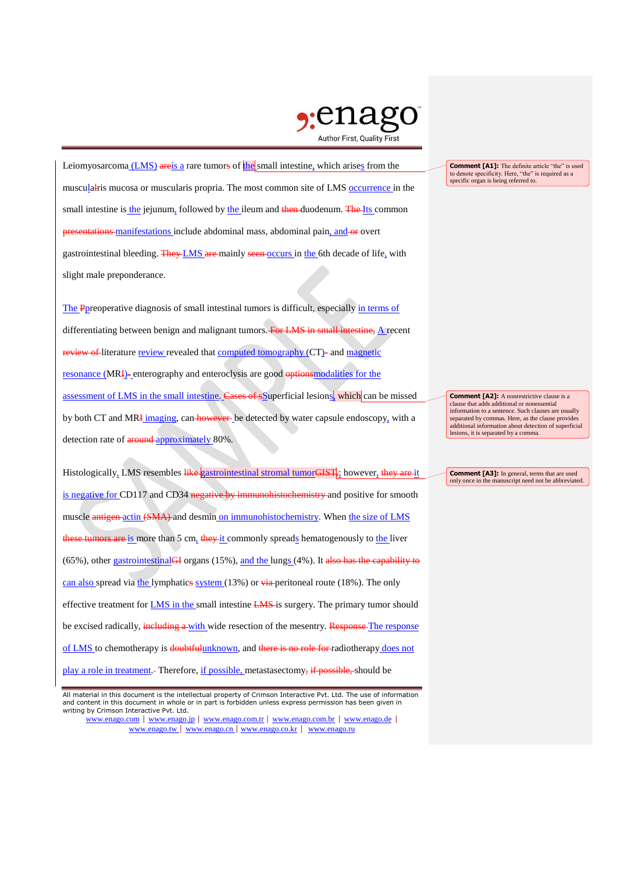

Leiomyosarcoma (LMS) areis a rare tumors of the small intestine, which arises from the musculalris mucosa or muscularis propria. The most common site of LMS occurrence in the small intestine is the jejunum, followed by the ileum and then duodenum. The Its common presentations manifestations include abdominal mass, abdominal pain, and or overt gastrointestinal bleeding. They LMS are mainly seen occurs in the 6th decade of life, with slight male preponderance.

The Ppreoperative diagnosis of small intestinal tumors is difficult, especially in terms of differentiating between benign and malignant tumors. For LMS in small intestine, A recent review of literature review revealed that computed tomography (CT)- and magnetic resonance (MRI)- enterography and enteroclysis are good optionsmodalities for the assessment of LMS in the small intestine. Cases of souperficial lesions, which can be missed by both CT and MRI imaging, can however be detected by water capsule endoscopy, with a detection rate of **around** approximately 80%.

Histologically, LMS resembles like gastrointestinal stromal tumorGIST, however, they are it is negative for CD117 and CD34 negative by immunohistochemistry and positive for smooth muscle antigen actin (SMA) and desmin on immunohistochemistry. When the size of LMS these tumors are is more than 5 cm, they it commonly spreads hematogenously to the liver (65%), other gastrointestinal GI organs (15%), and the lungs (4%). It also has the capability to can also spread via the lymphatics system (13%) or via peritoneal route (18%). The only effective treatment for **LMS** in the small intestine **LMS** is surgery. The primary tumor should be excised radically, including a with wide resection of the mesentry. Response The response of LMS to chemotherapy is doubtfulunknown, and there is no role for radiotherapy does not play a role in treatment. Therefore, if possible, metastasectomy, if possible, should be

www.enago.com | www.enago.jp | www.enago.com.tr | www.enago.com.br | www.enago.de | www.enago.tw | www.enago.cn | www.enago.co.kr | www.enago.ru

**Comment [A1]:** The definite article "the" is used to denote specificity. Here, "the" is required as a specific organ is being referred to.

**Comment [A2]:** A nonrestrictive clause is a clause that adds additional or nonessential information to a sentence. Such clauses are usually separated by commas. Here, as the clause provides additional information about detection of superficial lesions, it is separated by a comma.

**Comment [A3]:** In general, terms that are used only once in the manuscript need not be abbreviated.

All material in this document is the intellectual property of Crimson Interactive Pvt. Ltd. The use of information and content in this document in whole or in part is forbidden unless express permission has been given in writing by Crimson Interactive Pvt. Ltd.